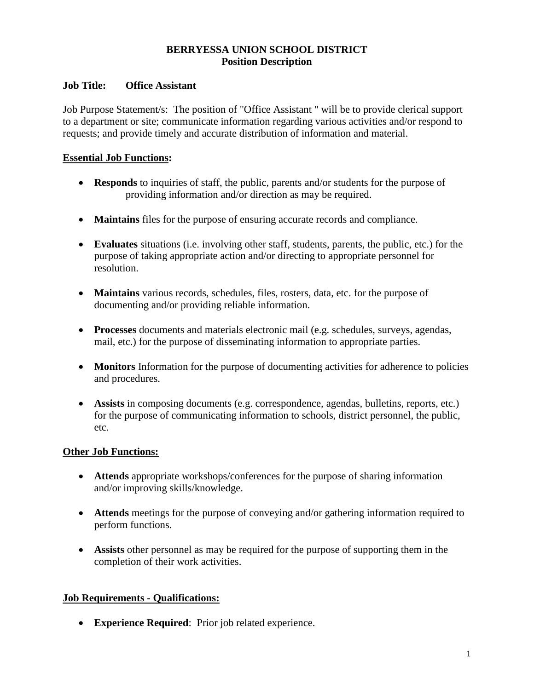# **BERRYESSA UNION SCHOOL DISTRICT Position Description**

#### **Job Title: Office Assistant**

Job Purpose Statement/s: The position of "Office Assistant " will be to provide clerical support to a department or site; communicate information regarding various activities and/or respond to requests; and provide timely and accurate distribution of information and material.

## **Essential Job Functions:**

- **Responds** to inquiries of staff, the public, parents and/or students for the purpose of providing information and/or direction as may be required.
- **Maintains** files for the purpose of ensuring accurate records and compliance.
- **Evaluates** situations (i.e. involving other staff, students, parents, the public, etc.) for the purpose of taking appropriate action and/or directing to appropriate personnel for resolution.
- **Maintains** various records, schedules, files, rosters, data, etc. for the purpose of documenting and/or providing reliable information.
- **Processes** documents and materials electronic mail (e.g. schedules, surveys, agendas, mail, etc.) for the purpose of disseminating information to appropriate parties.
- **Monitors** Information for the purpose of documenting activities for adherence to policies and procedures.
- **Assists** in composing documents (e.g. correspondence, agendas, bulletins, reports, etc.) for the purpose of communicating information to schools, district personnel, the public, etc.

## **Other Job Functions:**

- **Attends** appropriate workshops/conferences for the purpose of sharing information and/or improving skills/knowledge.
- **Attends** meetings for the purpose of conveying and/or gathering information required to perform functions.
- **Assists** other personnel as may be required for the purpose of supporting them in the completion of their work activities.

## **Job Requirements - Qualifications:**

**Experience Required**: Prior job related experience.